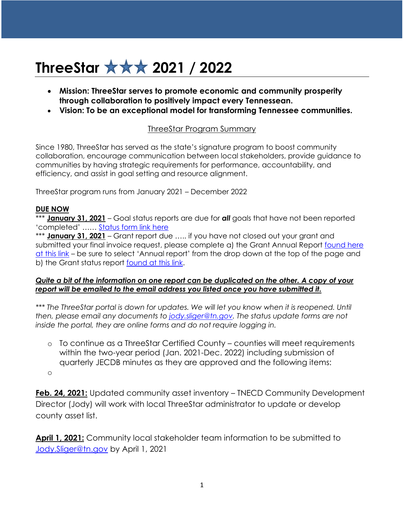## **ThreeStar 2021 / 2022**

- **Mission: ThreeStar serves to promote economic and community prosperity through collaboration to positively impact every Tennessean.**
- **Vision: To be an exceptional model for transforming Tennessee communities.**

## ThreeStar Program Summary

Since 1980, ThreeStar has served as the state's signature program to boost community collaboration, encourage communication between local stakeholders, provide guidance to communities by having strategic requirements for performance, accountability, and efficiency, and assist in goal setting and resource alignment.

ThreeStar program runs from January 2021 – December 2022

## **DUE NOW**

\*\*\* **January 31, 2021** – Goal status reports are due for *all* goals that have not been reported 'completed' …… [Status form link here](https://www.tn.gov/ecd/rural-development/three-star-tnecd/threestar-quarterly-goal-report.html)

\*\*\* **January 31, 2021** – Grant report due ….. if you have not closed out your grant and submitted your final invoice request, please complete a) the Grant Annual Report [found here](https://www.tn.gov/ecd/rural-development/three-star-tnecd/threestar-closeout-report.html)  [at this link](https://www.tn.gov/ecd/rural-development/three-star-tnecd/threestar-closeout-report.html) – be sure to select 'Annual report' from the drop down at the top of the page and b) the Grant status report [found at this link.](https://www.tn.gov/ecd/rural-development/three-star-tnecd/threestar-bi-monthly-report.html)

## *Quite a bit of the information on one report can be duplicated on the other. A copy of your report will be emailed to the email address you listed once you have submitted it.*

*\*\*\* The ThreeStar portal is down for updates. We will let you know when it is reopened. Until then, please email any documents to [jody.sliger@tn.gov.](mailto:jody.sliger@tn.gov) The status update forms are not inside the portal, they are online forms and do not require logging in.*

o To continue as a ThreeStar Certified County – counties will meet requirements within the two-year period (Jan. 2021-Dec. 2022) including submission of quarterly JECDB minutes as they are approved and the following items: o

**Feb. 24, 2021:** Updated community asset inventory – TNECD Community Development Director (Jody) will work with local ThreeStar administrator to update or develop county asset list.

**April 1, 2021:** Community local stakeholder team information to be submitted to [Jody.Sliger@tn.gov](mailto:Jody.Sliger@tn.gov) by April 1, 2021